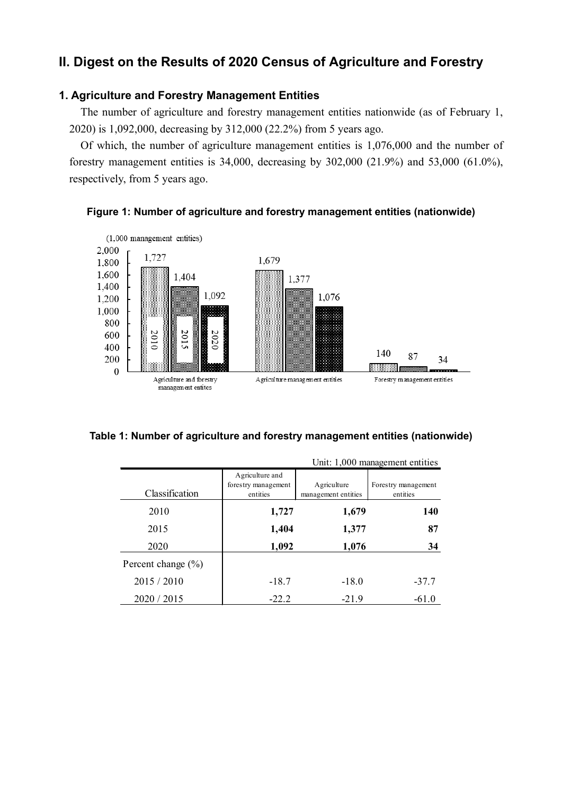# **II. Digest on the Results of 2020 Census of Agriculture and Forestry**

# **1. Agriculture and Forestry Management Entities**

The number of agriculture and forestry management entities nationwide (as of February 1, 2020) is 1,092,000, decreasing by 312,000 (22.2%) from 5 years ago.

Of which, the number of agriculture management entities is 1,076,000 and the number of forestry management entities is 34,000, decreasing by 302,000 (21.9%) and 53,000 (61.0%), respectively, from 5 years ago.





|  |  | Table 1: Number of agriculture and forestry management entities (nationwide) |  |
|--|--|------------------------------------------------------------------------------|--|
|--|--|------------------------------------------------------------------------------|--|

|                        |                                                    |                                    | Unit: 1,000 management entities |
|------------------------|----------------------------------------------------|------------------------------------|---------------------------------|
| Classification         | Agriculture and<br>forestry management<br>entities | Agriculture<br>management entities | Forestry management<br>entities |
| 2010                   | 1,727                                              | 1,679                              | 140                             |
| 2015                   | 1,404                                              | 1,377                              | 87                              |
| 2020                   | 1,092                                              | 1,076                              | 34                              |
| Percent change $(\% )$ |                                                    |                                    |                                 |
| 2015 / 2010            | $-18.7$                                            | $-18.0$                            | $-37.7$                         |
| 2020 / 2015            | $-22.2$                                            | $-21.9$                            | $-61.0$                         |

 $U_{n+1}$  1,000 management entities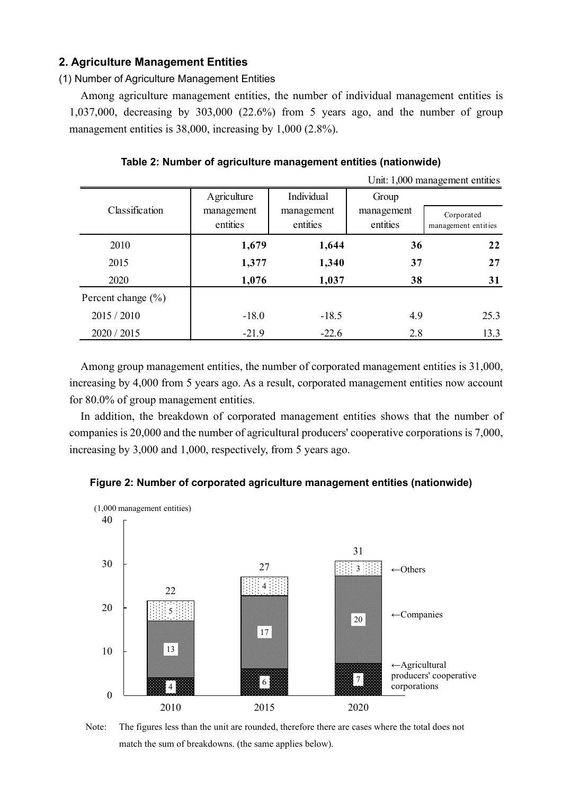## **2. Agriculture Management Entities**

(1) Number of Agriculture Management Entities

Among agriculture management entities, the number of individual management entities is 1,037,000, decreasing by 303,000 (22.6%) from 5 years ago, and the number of group management entities is 38,000, increasing by 1,000 (2.8%).

|                        |             |            |            | Unit: 1,000 management entities |
|------------------------|-------------|------------|------------|---------------------------------|
|                        | Agriculture | Individual | Group      |                                 |
| Classification         | management  | management | management | Corporated                      |
|                        | entities    | entities   | entities   | management entities             |
| 2010                   | 1,679       | 1,644      | 36         | 22                              |
| 2015                   | 1,377       | 1,340      | 37         | 27                              |
| 2020                   | 1,076       | 1,037      | 38         | 31                              |
| Percent change $(\% )$ |             |            |            |                                 |
| 2015 / 2010            | $-18.0$     | $-18.5$    | 4.9        | 25.3                            |
| 2020 / 2015            | $-21.9$     | $-22.6$    | 2.8        | 13.3                            |

**Table 2: Number of agriculture management entities (nationwide)**

Among group management entities, the number of corporated management entities is 31,000, increasing by 4,000 from 5 years ago. As a result, corporated management entities now account for 80.0% of group management entities.

In addition, the breakdown of corporated management entities shows that the number of companies is 20,000 and the number of agricultural producers' cooperative corporations is 7,000, increasing by 3,000 and 1,000, respectively, from 5 years ago.





Note: The figures less than the unit are rounded, therefore there are cases where the total does not match the sum of breakdowns. (the same applies below).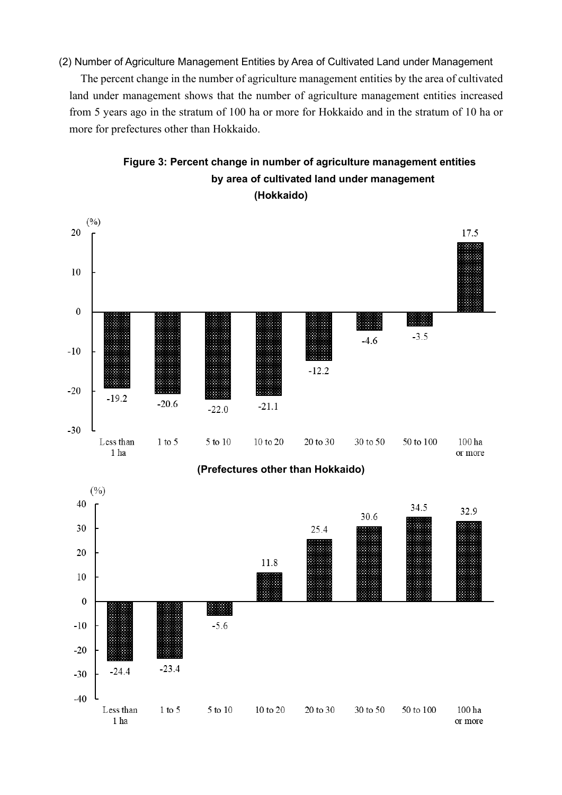(2) Number of Agriculture Management Entities by Area of Cultivated Land under Management

The percent change in the number of agriculture management entities by the area of cultivated land under management shows that the number of agriculture management entities increased from 5 years ago in the stratum of 100 ha or more for Hokkaido and in the stratum of 10 ha or more for prefectures other than Hokkaido.



# **Figure 3: Percent change in number of agriculture management entities by area of cultivated land under management (Hokkaido)**

**(Prefectures other than Hokkaido)**

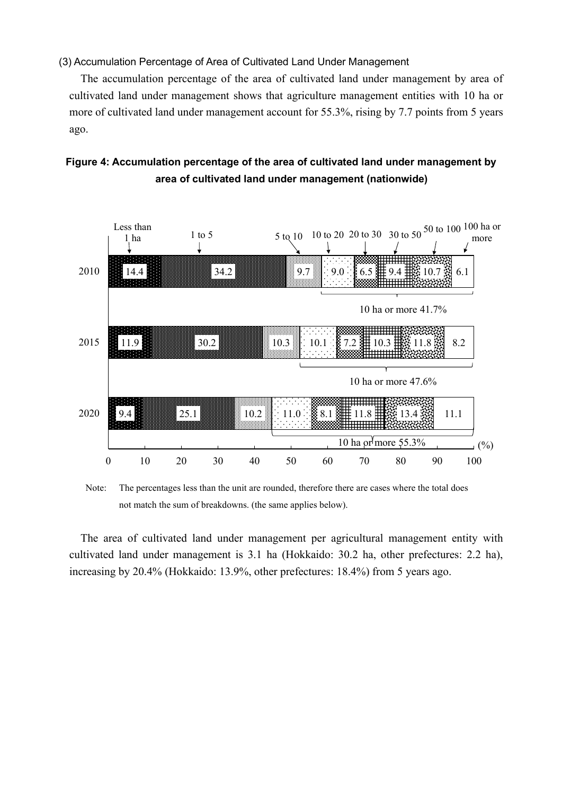(3) Accumulation Percentage of Area of Cultivated Land Under Management

The accumulation percentage of the area of cultivated land under management by area of cultivated land under management shows that agriculture management entities with 10 ha or more of cultivated land under management account for 55.3%, rising by 7.7 points from 5 years ago.





Note: The percentages less than the unit are rounded, therefore there are cases where the total does not match the sum of breakdowns. (the same applies below).

The area of cultivated land under management per agricultural management entity with cultivated land under management is 3.1 ha (Hokkaido: 30.2 ha, other prefectures: 2.2 ha), increasing by 20.4% (Hokkaido: 13.9%, other prefectures: 18.4%) from 5 years ago.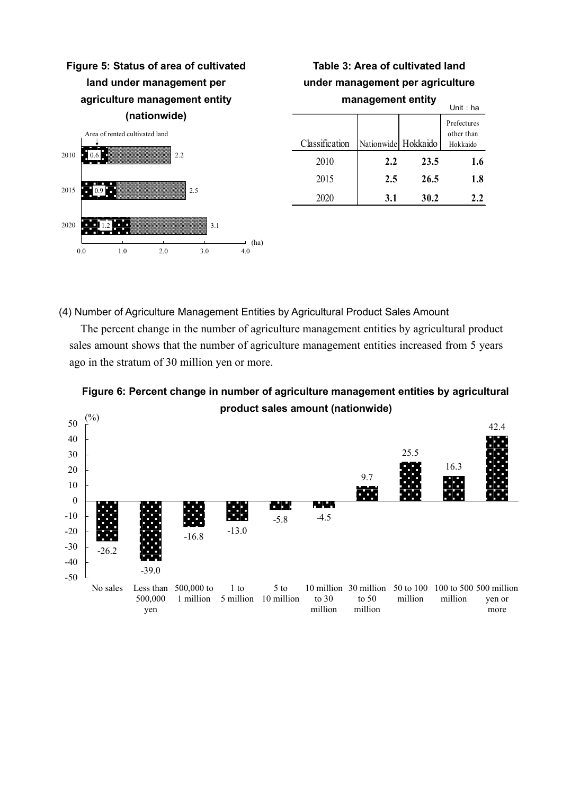

| Table 3: Area of cultivated land<br>under management per agriculture |     |                     |     |  |  |  |  |  |
|----------------------------------------------------------------------|-----|---------------------|-----|--|--|--|--|--|
| management entity<br>Unit: $ha$                                      |     |                     |     |  |  |  |  |  |
| Classification                                                       |     | Nationwide Hokkaido |     |  |  |  |  |  |
| 2010                                                                 | 2.2 | 23.5                | 1.6 |  |  |  |  |  |
| 2015                                                                 | 2.5 | 26.5                | 1.8 |  |  |  |  |  |
| 2020                                                                 | 3.1 | 30.2                | 2.2 |  |  |  |  |  |

(4) Number of Agriculture Management Entities by Agricultural Product Sales Amount

The percent change in the number of agriculture management entities by agricultural product sales amount shows that the number of agriculture management entities increased from 5 years ago in the stratum of 30 million yen or more.



**Figure 6: Percent change in number of agriculture management entities by agricultural product sales amount (nationwide)**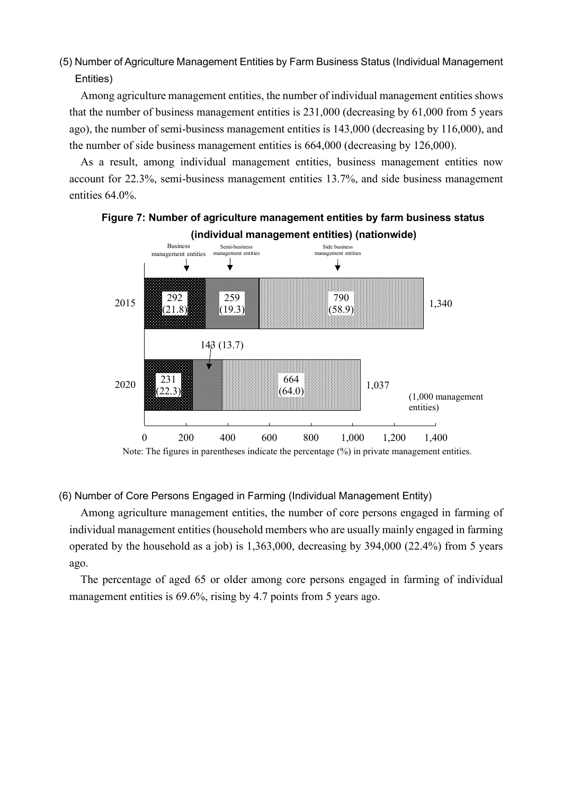(5) Number of Agriculture Management Entities by Farm Business Status (Individual Management Entities)

Among agriculture management entities, the number of individual management entities shows that the number of business management entities is 231,000 (decreasing by 61,000 from 5 years ago), the number of semi-business management entities is 143,000 (decreasing by 116,000), and the number of side business management entities is 664,000 (decreasing by 126,000).

As a result, among individual management entities, business management entities now account for 22.3%, semi-business management entities 13.7%, and side business management entities 64.0%.



# **Figure 7: Number of agriculture management entities by farm business status (individual management entities) (nationwide)**

## (6) Number of Core Persons Engaged in Farming (Individual Management Entity)

Among agriculture management entities, the number of core persons engaged in farming of individual management entities (household members who are usually mainly engaged in farming operated by the household as a job) is 1,363,000, decreasing by 394,000 (22.4%) from 5 years ago.

The percentage of aged 65 or older among core persons engaged in farming of individual management entities is 69.6%, rising by 4.7 points from 5 years ago.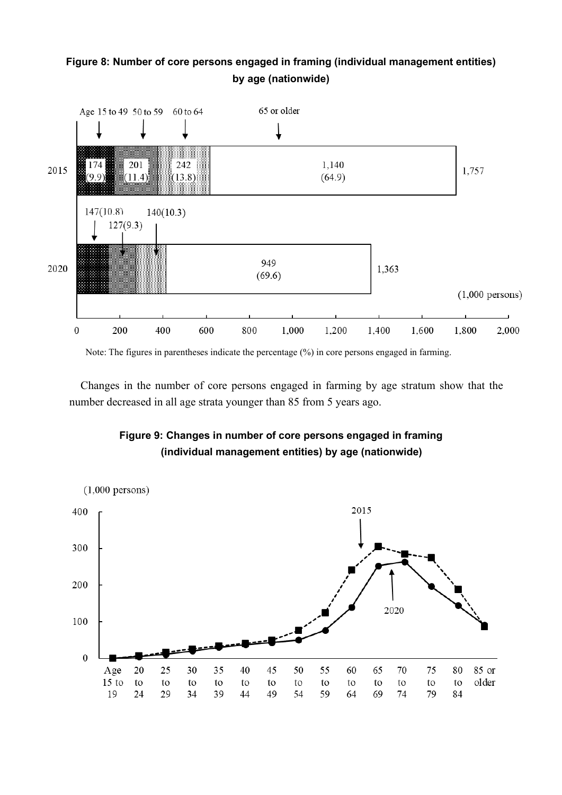# **Figure 8: Number of core persons engaged in framing (individual management entities) by age (nationwide)**



Note: The figures in parentheses indicate the percentage (%) in core persons engaged in farming.

Changes in the number of core persons engaged in farming by age stratum show that the number decreased in all age strata younger than 85 from 5 years ago.

# **Figure 9: Changes in number of core persons engaged in framing (individual management entities) by age (nationwide)**

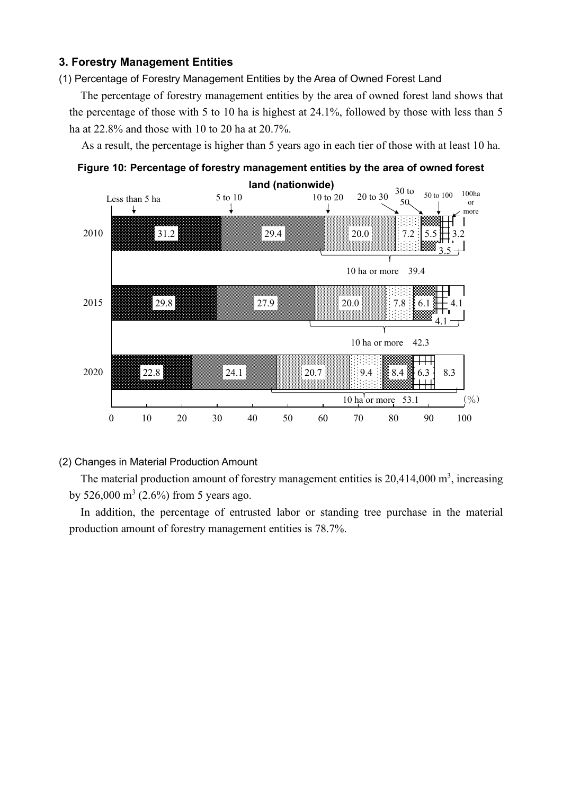# **3. Forestry Management Entities**

(1) Percentage of Forestry Management Entities by the Area of Owned Forest Land

The percentage of forestry management entities by the area of owned forest land shows that the percentage of those with 5 to 10 ha is highest at 24.1%, followed by those with less than 5 ha at 22.8% and those with 10 to 20 ha at 20.7%.

As a result, the percentage is higher than 5 years ago in each tier of those with at least 10 ha.



**Figure 10: Percentage of forestry management entities by the area of owned forest** 

### (2) Changes in Material Production Amount

The material production amount of forestry management entities is  $20,414,000$  m<sup>3</sup>, increasing by 526,000 m<sup>3</sup> (2.6%) from 5 years ago.

In addition, the percentage of entrusted labor or standing tree purchase in the material production amount of forestry management entities is 78.7%.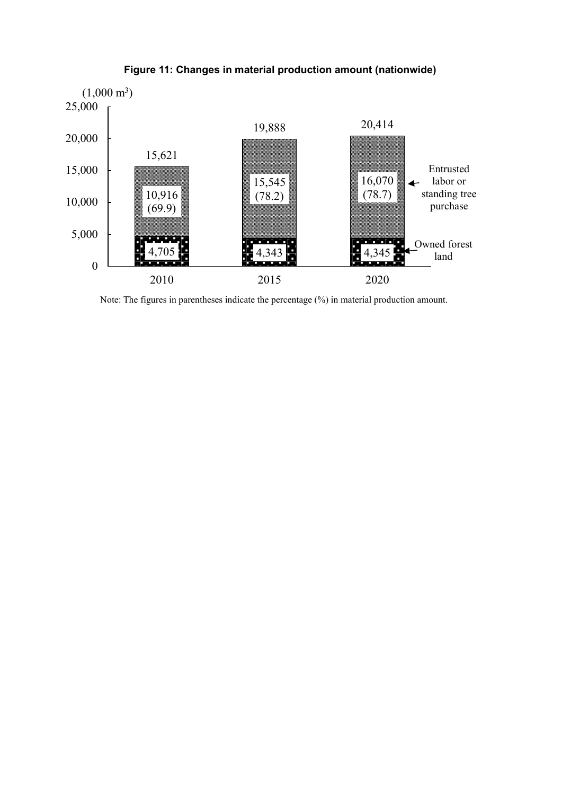

**Figure 11: Changes in material production amount (nationwide)**

Note: The figures in parentheses indicate the percentage (%) in material production amount.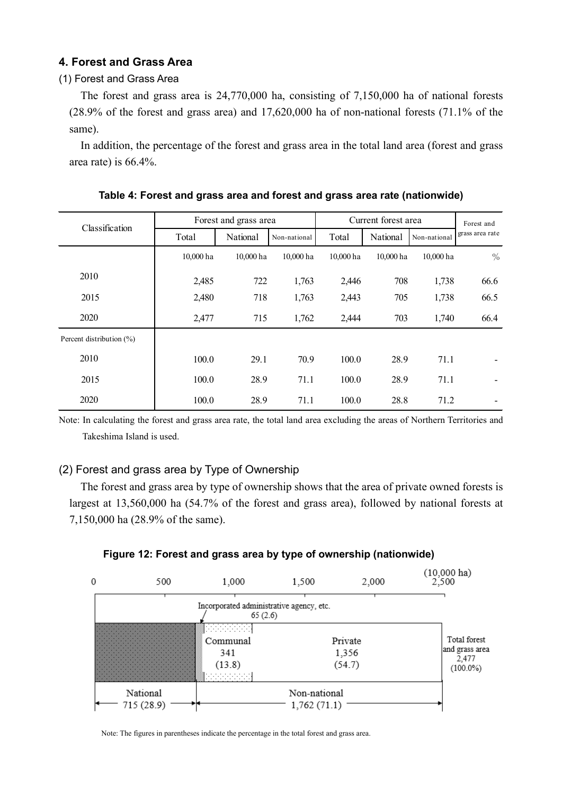# **4. Forest and Grass Area**

#### (1) Forest and Grass Area

The forest and grass area is 24,770,000 ha, consisting of 7,150,000 ha of national forests (28.9% of the forest and grass area) and 17,620,000 ha of non-national forests (71.1% of the same).

In addition, the percentage of the forest and grass area in the total land area (forest and grass area rate) is 66.4%.

| Classification           | Forest and grass area | Current forest area | Forest and   |           |           |              |                 |
|--------------------------|-----------------------|---------------------|--------------|-----------|-----------|--------------|-----------------|
|                          | Total                 | National            | Non-national | Total     | National  | Non-national | grass area rate |
|                          | 10,000 ha             | 10,000 ha           | 10,000 ha    | 10,000 ha | 10,000 ha | 10,000 ha    | $\frac{0}{0}$   |
| 2010                     | 2,485                 | 722                 | 1,763        | 2,446     | 708       | 1,738        | 66.6            |
| 2015                     | 2,480                 | 718                 | 1,763        | 2,443     | 705       | 1,738        | 66.5            |
| 2020                     | 2,477                 | 715                 | 1,762        | 2,444     | 703       | 1,740        | 66.4            |
| Percent distribution (%) |                       |                     |              |           |           |              |                 |
| 2010                     | 100.0                 | 29.1                | 70.9         | 100.0     | 28.9      | 71.1         |                 |
| 2015                     | 100.0                 | 28.9                | 71.1         | 100.0     | 28.9      | 71.1         |                 |
| 2020                     | 100.0                 | 28.9                | 71.1         | 100.0     | 28.8      | 71.2         |                 |

**Table 4: Forest and grass area and forest and grass area rate (nationwide)**

Note: In calculating the forest and grass area rate, the total land area excluding the areas of Northern Territories and Takeshima Island is used.

## (2) Forest and grass area by Type of Ownership

The forest and grass area by type of ownership shows that the area of private owned forests is largest at 13,560,000 ha (54.7% of the forest and grass area), followed by national forests at 7,150,000 ha (28.9% of the same).



#### **Figure 12: Forest and grass area by type of ownership (nationwide)**

Note: The figures in parentheses indicate the percentage in the total forest and grass area.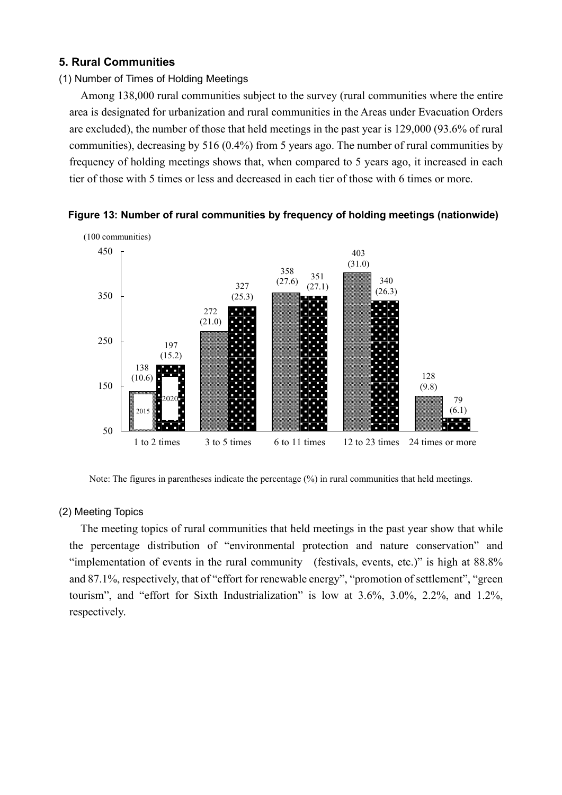### **5. Rural Communities**

#### (1) Number of Times of Holding Meetings

Among 138,000 rural communities subject to the survey (rural communities where the entire area is designated for urbanization and rural communities in the Areas under Evacuation Orders are excluded), the number of those that held meetings in the past year is 129,000 (93.6% of rural communities), decreasing by 516 (0.4%) from 5 years ago. The number of rural communities by frequency of holding meetings shows that, when compared to 5 years ago, it increased in each tier of those with 5 times or less and decreased in each tier of those with 6 times or more.



**Figure 13: Number of rural communities by frequency of holding meetings (nationwide)**

Note: The figures in parentheses indicate the percentage (%) in rural communities that held meetings.

#### (2) Meeting Topics

The meeting topics of rural communities that held meetings in the past year show that while the percentage distribution of "environmental protection and nature conservation" and "implementation of events in the rural community (festivals, events, etc.)" is high at 88.8% and 87.1%, respectively, that of "effort for renewable energy", "promotion of settlement", "green tourism", and "effort for Sixth Industrialization" is low at 3.6%, 3.0%, 2.2%, and 1.2%, respectively.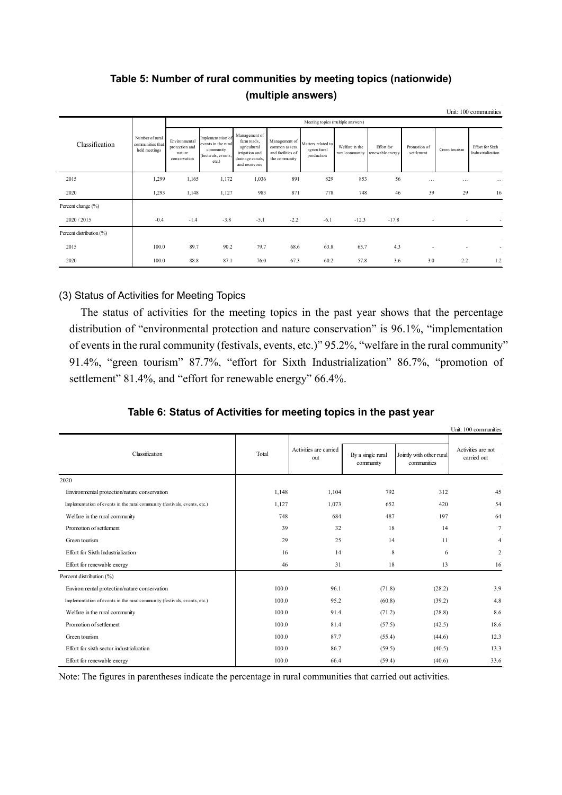|                          |                                                      |                                                           |                                                                                       |                                                                                                      |                                                                      |                                                  |                                   |                                |                            |               | Unit: 100 communities                        |
|--------------------------|------------------------------------------------------|-----------------------------------------------------------|---------------------------------------------------------------------------------------|------------------------------------------------------------------------------------------------------|----------------------------------------------------------------------|--------------------------------------------------|-----------------------------------|--------------------------------|----------------------------|---------------|----------------------------------------------|
|                          |                                                      |                                                           | Meeting topics (multiple answers)                                                     |                                                                                                      |                                                                      |                                                  |                                   |                                |                            |               |                                              |
| Classification           | Number of rural<br>communities that<br>held meetings | Environmental<br>protection and<br>nature<br>conservation | Implementation of<br>events in the rural<br>community<br>(festivals, events,<br>etc.) | Management of<br>farm roads,<br>agricultural<br>irrigation and<br>drainage canals,<br>and reservoirs | Management of<br>common assets<br>and facilities of<br>the community | Matters related to<br>agricultural<br>production | Welfare in the<br>rural community | Effort for<br>renewable energy | Promotion of<br>settlement | Green tourism | <b>Effort</b> for Sixth<br>Industrialization |
| 2015                     | 1,299                                                | 1,165                                                     | 1,172                                                                                 | 1,036                                                                                                | 891                                                                  | 829                                              | 853                               | 56                             | $\cdots$                   |               | $\cdots$                                     |
| 2020                     | 1,293                                                | 1,148                                                     | 1,127                                                                                 | 983                                                                                                  | 871                                                                  | 778                                              | 748                               | 46                             | 39                         | 29            | 16                                           |
| Percent change (%)       |                                                      |                                                           |                                                                                       |                                                                                                      |                                                                      |                                                  |                                   |                                |                            |               |                                              |
| 2020 / 2015              | $-0.4$                                               | $-1.4$                                                    | $-3.8$                                                                                | $-5.1$                                                                                               | $-2.2$                                                               | $-6.1$                                           | $-12.3$                           | $-17.8$                        | $\overline{\phantom{a}}$   |               |                                              |
| Percent distribution (%) |                                                      |                                                           |                                                                                       |                                                                                                      |                                                                      |                                                  |                                   |                                |                            |               |                                              |
| 2015                     | 100.0                                                | 89.7                                                      | 90.2                                                                                  | 79.7                                                                                                 | 68.6                                                                 | 63.8                                             | 65.7                              | 4.3                            | $\overline{\phantom{a}}$   |               |                                              |
| 2020                     | 100.0                                                | 88.8                                                      | 87.1                                                                                  | 76.0                                                                                                 | 67.3                                                                 | 60.2                                             | 57.8                              | 3.6                            | 3.0                        | 2.2           | 1.2                                          |

# **Table 5: Number of rural communities by meeting topics (nationwide) (multiple answers)**

## (3) Status of Activities for Meeting Topics

The status of activities for the meeting topics in the past year shows that the percentage distribution of "environmental protection and nature conservation" is 96.1%, "implementation of events in the rural community (festivals, events, etc.)" 95.2%, "welfare in the rural community" 91.4%, "green tourism" 87.7%, "effort for Sixth Industrialization" 86.7%, "promotion of settlement" 81.4%, and "effort for renewable energy" 66.4%.

|                                                                           |       |                               |                                |                                         | Unit: 100 communities             |
|---------------------------------------------------------------------------|-------|-------------------------------|--------------------------------|-----------------------------------------|-----------------------------------|
| Classification                                                            | Total | Activities are carried<br>out | By a single rural<br>community | Jointly with other rural<br>communities | Activities are not<br>carried out |
| 2020                                                                      |       |                               |                                |                                         |                                   |
| Environmental protection/nature conservation                              | 1,148 | 1,104                         | 792                            | 312                                     | 45                                |
| Implementation of events in the rural community (festivals, events, etc.) | 1,127 | 1,073                         | 652                            | 420                                     | 54                                |
| Welfare in the rural community                                            | 748   | 684                           | 487                            | 197                                     | 64                                |
| Promotion of settlement                                                   | 39    | 32                            | 18                             | 14                                      | $\overline{7}$                    |
| Green tourism                                                             | 29    | 25                            | 14                             | 11                                      | $\overline{4}$                    |
| Effort for Sixth Industrialization                                        | 16    | 14                            | 8                              | 6                                       | $\overline{2}$                    |
| Effort for renewable energy                                               | 46    | 31                            | 18                             | 13                                      | 16                                |
| Percent distribution (%)                                                  |       |                               |                                |                                         |                                   |
| Environmental protection/nature conservation                              | 100.0 | 96.1                          | (71.8)                         | (28.2)                                  | 3.9                               |
| Implementation of events in the rural community (festivals, events, etc.) | 100.0 | 95.2                          | (60.8)                         | (39.2)                                  | 4.8                               |
| Welfare in the rural community                                            | 100.0 | 91.4                          | (71.2)                         | (28.8)                                  | 8.6                               |
| Promotion of settlement                                                   | 100.0 | 81.4                          | (57.5)                         | (42.5)                                  | 18.6                              |
| Green tourism                                                             | 100.0 | 87.7                          | (55.4)                         | (44.6)                                  | 12.3                              |
| Effort for sixth sector industrialization                                 | 100.0 | 86.7                          | (59.5)                         | (40.5)                                  | 13.3                              |
| Effort for renewable energy                                               | 100.0 | 66.4                          | (59.4)                         | (40.6)                                  | 33.6                              |

Note: The figures in parentheses indicate the percentage in rural communities that carried out activities.